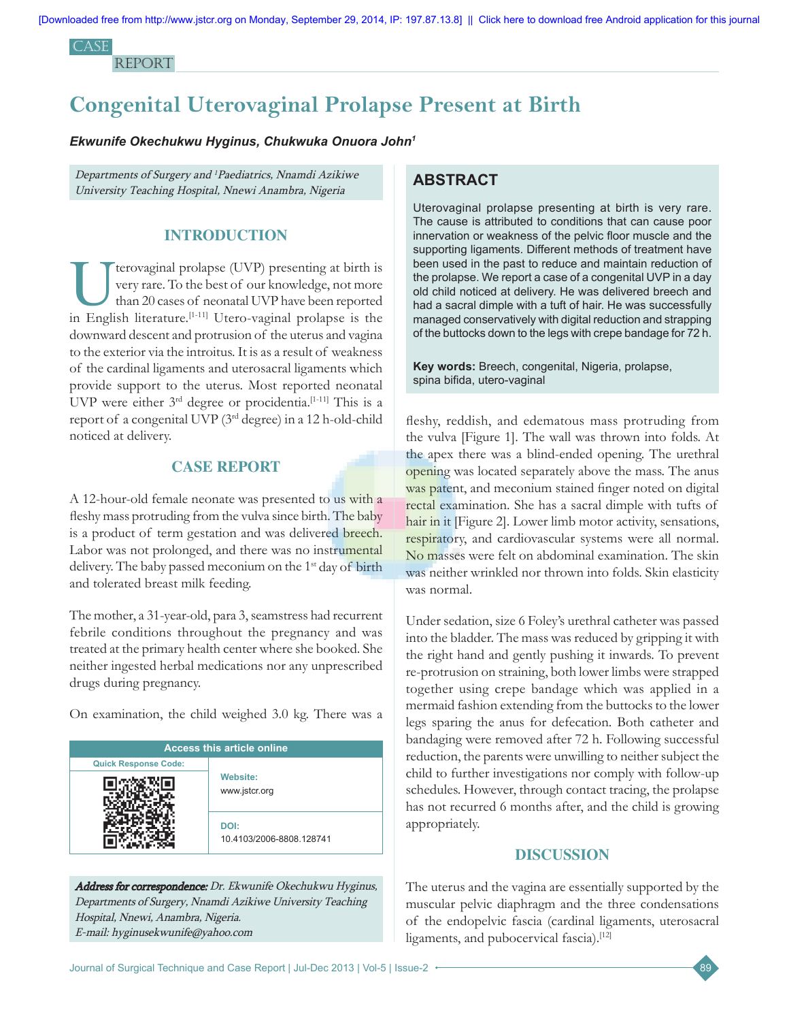**[Downloaded free from http://www.jstcr.org on Monday, September 29, 2014, IP: 197.87.13.8] || [Click here to download free Android application for this journal](https://market.android.com/details?id=comm.app.medknow)**

**REPORT CASE** 

# **Congenital Uterovaginal Prolapse Present at Birth**

*Ekwunife Okechukwu Hyginus, Chukwuka Onuora John1*

Departments of Surgery and <sup>1</sup>Paediatrics, Nnamdi Azikiwe University Teaching Hospital, Nnewi Anambra, Nigeria

## **INTRODUCTION**

**UTERON** terovaginal prolapse (UVP) presenting at birth is<br>
very rare. To the best of our knowledge, not more<br>
than 20 cases of neonatal UVP have been reported<br>
in English literature [[11] Here reginal prolance is the very rare. To the best of our knowledge, not more in English literature.[1-11] Utero-vaginal prolapse is the downward descent and protrusion of the uterus and vagina to the exterior via the introitus. It is as a result of weakness of the cardinal ligaments and uterosacral ligaments which provide support to the uterus. Most reported neonatal UVP were either  $3<sup>rd</sup>$  degree or procidentia.<sup>[1-11]</sup> This is a report of a congenital UVP (3rd degree) in a 12 h-old-child noticed at delivery.

## **CASE REPORT**

A 12-hour-old female neonate was presented to us with a fleshy mass protruding from the vulva since birth. The baby is a product of term gestation and was delivered breech. Labor was not prolonged, and there was no instrumental delivery. The baby passed meconium on the 1<sup>st</sup> day of birth and tolerated breast milk feeding.

The mother, a 31-year-old, para 3, seamstress had recurrent febrile conditions throughout the pregnancy and was treated at the primary health center where she booked. She neither ingested herbal medications nor any unprescribed drugs during pregnancy.

On examination, the child weighed 3.0 kg. There was a



Address for correspondence: Dr. Ekwunife Okechukwu Hyginus, Departments of Surgery, Nnamdi Azikiwe University Teaching Hospital, Nnewi, Anambra, Nigeria. E-mail: hyginusekwunife@yahoo.com

# **ABSTRACT**

Uterovaginal prolapse presenting at birth is very rare. The cause is attributed to conditions that can cause poor innervation or weakness of the pelvic floor muscle and the supporting ligaments. Different methods of treatment have been used in the past to reduce and maintain reduction of the prolapse. We report a case of a congenital UVP in a day old child noticed at delivery. He was delivered breech and had a sacral dimple with a tuft of hair. He was successfully managed conservatively with digital reduction and strapping of the buttocks down to the legs with crepe bandage for 72 h.

**Key words:** Breech, congenital, Nigeria, prolapse, spina bifida, utero-vaginal

fleshy, reddish, and edematous mass protruding from the vulva [Figure 1]. The wall was thrown into folds. At the apex there was a blind-ended opening. The urethral opening was located separately above the mass. The anus was patent, and meconium stained finger noted on digital rectal examination. She has a sacral dimple with tufts of hair in it [Figure 2]. Lower limb motor activity, sensations, respiratory, and cardiovascular systems were all normal. No masses were felt on abdominal examination. The skin was neither wrinkled nor thrown into folds. Skin elasticity was normal.

Under sedation, size 6 Foley's urethral catheter was passed into the bladder. The mass was reduced by gripping it with the right hand and gently pushing it inwards. To prevent re-protrusion on straining, both lower limbs were strapped together using crepe bandage which was applied in a mermaid fashion extending from the buttocks to the lower legs sparing the anus for defecation. Both catheter and bandaging were removed after 72 h. Following successful reduction, the parents were unwilling to neither subject the child to further investigations nor comply with follow-up schedules. However, through contact tracing, the prolapse has not recurred 6 months after, and the child is growing appropriately.

## **DISCUSSION**

The uterus and the vagina are essentially supported by the muscular pelvic diaphragm and the three condensations of the endopelvic fascia (cardinal ligaments, uterosacral ligaments, and pubocervical fascia).<sup>[12]</sup>

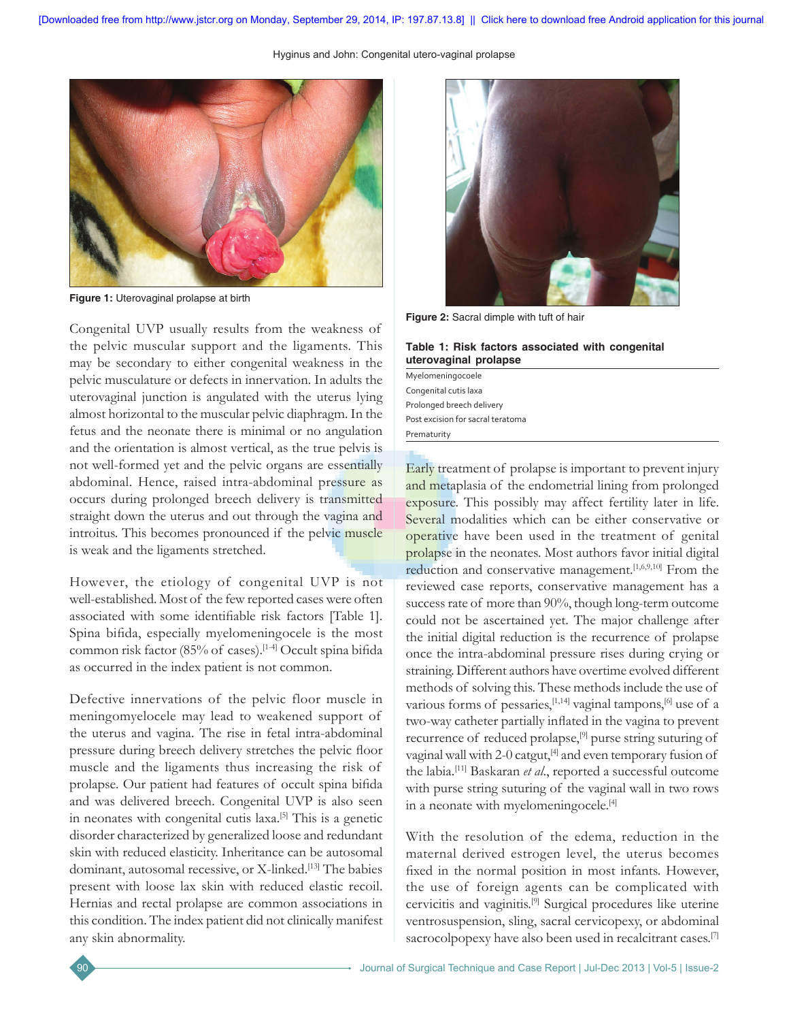Hyginus and John: Congenital utero-vaginal prolapse



**Figure 1:** Uterovaginal prolapse at birth

Congenital UVP usually results from the weakness of the pelvic muscular support and the ligaments. This may be secondary to either congenital weakness in the pelvic musculature or defects in innervation. In adults the uterovaginal junction is angulated with the uterus lying almost horizontal to the muscular pelvic diaphragm. In the fetus and the neonate there is minimal or no angulation and the orientation is almost vertical, as the true pelvis is not well-formed yet and the pelvic organs are essentially abdominal. Hence, raised intra-abdominal pressure as occurs during prolonged breech delivery is transmitted straight down the uterus and out through the vagina and introitus. This becomes pronounced if the pelvic muscle is weak and the ligaments stretched.

However, the etiology of congenital UVP is not well-established. Most of the few reported cases were often associated with some identifiable risk factors [Table 1]. Spina bifida, especially myelomeningocele is the most common risk factor (85% of cases).<sup>[1-4]</sup> Occult spina bifida as occurred in the index patient is not common.

Defective innervations of the pelvic floor muscle in meningomyelocele may lead to weakened support of the uterus and vagina. The rise in fetal intra-abdominal pressure during breech delivery stretches the pelvic floor muscle and the ligaments thus increasing the risk of prolapse. Our patient had features of occult spina bifida and was delivered breech. Congenital UVP is also seen in neonates with congenital cutis laxa.<sup>[5]</sup> This is a genetic disorder characterized by generalized loose and redundant skin with reduced elasticity. Inheritance can be autosomal dominant, autosomal recessive, or X-linked.<sup>[13]</sup> The babies present with loose lax skin with reduced elastic recoil. Hernias and rectal prolapse are common associations in this condition. The index patient did not clinically manifest any skin abnormality.



**Figure 2:** Sacral dimple with tuft of hair

## **Table 1: Risk factors associated with congenital uterovaginal prolapse**

| Myelomeningocoele                 |
|-----------------------------------|
| Congenital cutis laxa             |
| Prolonged breech delivery         |
| Post excision for sacral teratoma |
| Prematurity                       |
|                                   |

Early treatment of prolapse is important to prevent injury and metaplasia of the endometrial lining from prolonged exposure. This possibly may affect fertility later in life. Several modalities which can be either conservative or operative have been used in the treatment of genital prolapse in the neonates. Most authors favor initial digital reduction and conservative management.<sup>[1,6,9,10]</sup> From the reviewed case reports, conservative management has a success rate of more than 90%, though long-term outcome could not be ascertained yet. The major challenge after the initial digital reduction is the recurrence of prolapse once the intra-abdominal pressure rises during crying or straining. Different authors have overtime evolved different methods of solving this. These methods include the use of various forms of pessaries,  $[1,14]$  vaginal tampons,  $[6]$  use of a two-way catheter partially inflated in the vagina to prevent recurrence of reduced prolapse,[9] purse string suturing of vaginal wall with 2-0 catgut,<sup>[4]</sup> and even temporary fusion of the labia.[11] Baskaran *et al*., reported a successful outcome with purse string suturing of the vaginal wall in two rows in a neonate with myelomeningocele.<sup>[4]</sup>

With the resolution of the edema, reduction in the maternal derived estrogen level, the uterus becomes fixed in the normal position in most infants. However, the use of foreign agents can be complicated with cervicitis and vaginitis.[9] Surgical procedures like uterine ventrosuspension, sling, sacral cervicopexy, or abdominal sacrocolpopexy have also been used in recalcitrant cases.<sup>[7]</sup>